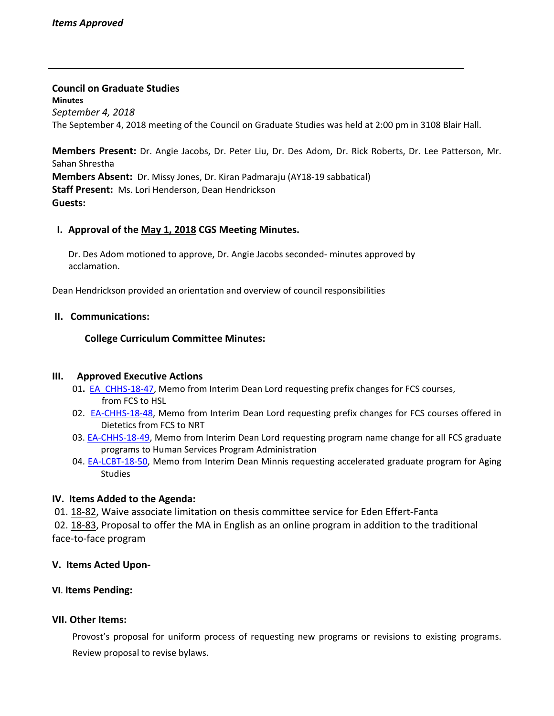**Council on Graduate Studies Minutes** *September 4, 2018* The September 4, 2018 meeting of the Council on Graduate Studies was held at 2:00 pm in 3108 Blair Hall.

**Members Present:** Dr. Angie Jacobs, Dr. Peter Liu, Dr. Des Adom, Dr. Rick Roberts, Dr. Lee Patterson, Mr. Sahan Shrestha **Members Absent:** Dr. Missy Jones, Dr. Kiran Padmaraju (AY18‐19 sabbatical) **Staff Present:** Ms. Lori Henderson, Dean Hendrickson **Guests:**

### **I. Approval of the May 1, [2018](http://castle.eiu.edu/eiucgs/currentminutes/Minutes5-7-18.pdf) CGS Meeting Minutes.**

Dr. Des Adom motioned to approve, Dr. Angie Jacobs seconded‐ minutes approved by acclamation.

Dean Hendrickson provided an orientation and overview of council responsibilities

### **II. Communications:**

**College Curriculum Committee Minutes:**

#### **III. Approved Executive Actions**

- 01. **[EA\\_CHHS](http://castle.eiu.edu/eiucgs/exec-actions/EA-CHHS-18-47.pdf)-18-47, Memo from Interim Dean Lord requesting prefix changes for FCS courses,** from FCS to HSL
- 02. EA-[CHHS](http://castle.eiu.edu/eiucgs/exec-actions/EA-CHHS-18-48.pdf)-18-48, Memo from Interim Dean Lord requesting prefix changes for FCS courses offered in Dietetics from FCS to NRT
- 03. EA-[CHHS](http://castle.eiu.edu/eiucgs/exec-actions/EA-CHHS-18-49.pdf)-18-49, Memo from Interim Dean Lord requesting program name change for all FCS graduate programs to Human Services Program Administration
- 04. EA-[LCBT](http://castle.eiu.edu/eiucgs/exec-actions/EA-LCBT-18-50.pdf)-18-50, Memo from Interim Dean Minnis requesting accelerated graduate program for Aging Studies

# **IV. Items Added to the Agenda:**

01. [18](http://castle.eiu.edu/eiucgs/currentagendaitems/agenda18-82.pdf)‐82, Waive associate limitation on thesis committee service for Eden Effert‐Fanta

02. [18](http://castle.eiu.edu/eiucgs/currentagendaitems/agenda18-83.pdf)-83, Proposal to offer the MA in English as an online program in addition to the traditional face‐to‐face program

# **V. Items Acted Upon‐**

# **VI**. **Items Pending:**

# **VII. Other Items:**

Provost's proposal for uniform process of [requesting](http://castle.eiu.edu/eiucgs/provost-new-program-proposal.pdf) new programs or revisions to existing programs. Review [proposal](http://castle.eiu.edu/eiucgs/CGS bylaws draft revisions.pdf) to revise bylaws.